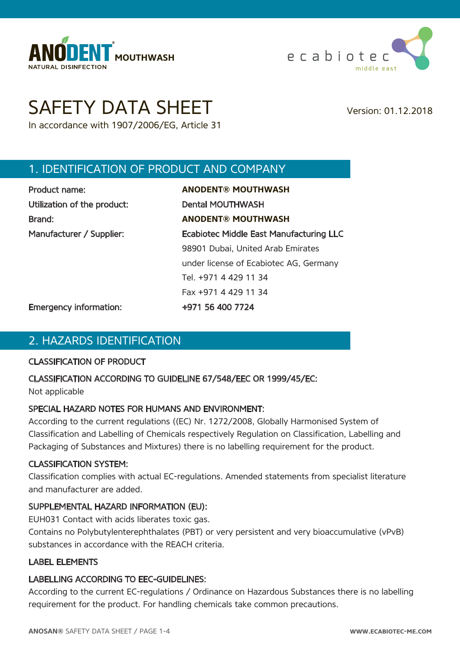



# SAFETY DATA SHEET Version: 01.12.2018

In accordance with 1907/2006/EG, Article 31

# 1. IDENTIFICATION OF PRODUCT AND COMPANY

| Product name:               |  |
|-----------------------------|--|
| Utilization of the product: |  |
| Brand:                      |  |
| Manufacturer / Supplier:    |  |

Product name: **ANODENT® MOUTHWASH** Dental MOUTHWASH Brand: **ANODENT® MOUTHWASH** Ecabiotec Middle East Manufacturing LLC 98901 Dubai, United Arab Emirates under license of Ecabiotec AG, Germany Tel. +971 4 429 11 34 Fax +971 4 429 11 34

Emergency information: +971 56 400 7724

## 2. HAZARDS IDENTIFICATION

#### CLASSIFICATION OF PRODUCT

#### CLASSIFICATION ACCORDING TO GUIDELINE 67/548/EEC OR 1999/45/EC:

Not applicable

#### SPECIAL HAZARD NOTES FOR HUMANS AND ENVIRONMENT:

According to the current regulations ((EC) Nr. 1272/2008, Globally Harmonised System of Classification and Labelling of Chemicals respectively Regulation on Classification, Labelling and Packaging of Substances and Mixtures) there is no labelling requirement for the product.

#### CLASSIFICATION SYSTEM:

Classification complies with actual EC-regulations. Amended statements from specialist literature and manufacturer are added.

#### SUPPLEMENTAL HAZARD INFORMATION (EU):

EUH031 Contact with acids liberates toxic gas.

Contains no Polybutylenterephthalates (PBT) or very persistent and very bioaccumulative (vPvB) substances in accordance with the REACH criteria.

#### LABEL ELEMENTS

#### LABELLING ACCORDING TO EEC-GUIDELINES:

According to the current EC-regulations / Ordinance on Hazardous Substances there is no labelling requirement for the product. For handling chemicals take common precautions.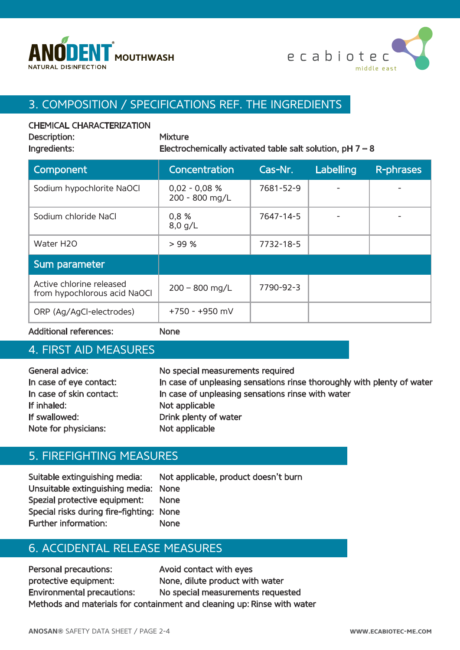



# 3. COMPOSITION / SPECIFICATIONS REF. THE INGREDIENTS

#### CHEMICAL CHARACTERIZATION

| Description: |
|--------------|
|              |

**Mixture** Ingredients: Electrochemically activated table salt solution,  $pH 7 - 8$ 

| Component                                                | Concentration                     | Cas-Nr.   | Labelling | <b>R-phrases</b> |
|----------------------------------------------------------|-----------------------------------|-----------|-----------|------------------|
| Sodium hypochlorite NaOCl                                | $0,02 - 0,08 %$<br>200 - 800 mg/L | 7681-52-9 |           |                  |
| Sodium chloride NaCl                                     | 0,8 %<br>$8,0$ g/L                | 7647-14-5 |           |                  |
| Water H2O                                                | > 99%                             | 7732-18-5 |           |                  |
| Sum parameter                                            |                                   |           |           |                  |
| Active chlorine released<br>from hypochlorous acid NaOCI | $200 - 800$ mg/L                  | 7790-92-3 |           |                  |
| ORP (Ag/AgCI-electrodes)                                 | $+750 - +950$ mV                  |           |           |                  |

Additional references: None

#### 4. FIRST AID MEASURES

| General advice:          | No special measurements required                                       |
|--------------------------|------------------------------------------------------------------------|
| In case of eye contact:  | In case of unpleasing sensations rinse thoroughly with plenty of water |
| In case of skin contact: | In case of unpleasing sensations rinse with water                      |
| If inhaled:              | Not applicable                                                         |
| If swallowed:            | Drink plenty of water                                                  |
| Note for physicians:     | Not applicable                                                         |

#### 5. FIREFIGHTING MEASURES

Suitable extinguishing media: Not applicable, product doesn't burn Unsuitable extinguishing media: None Spezial protective equipment: None Special risks during fire-fighting: None Further information: None

## 6. ACCIDENTAL RELEASE MEASURES

Personal precautions: Avoid contact with eyes protective equipment: None, dilute product with water Environmental precautions: No special measurements requested Methods and materials for containment and cleaning up: Rinse with water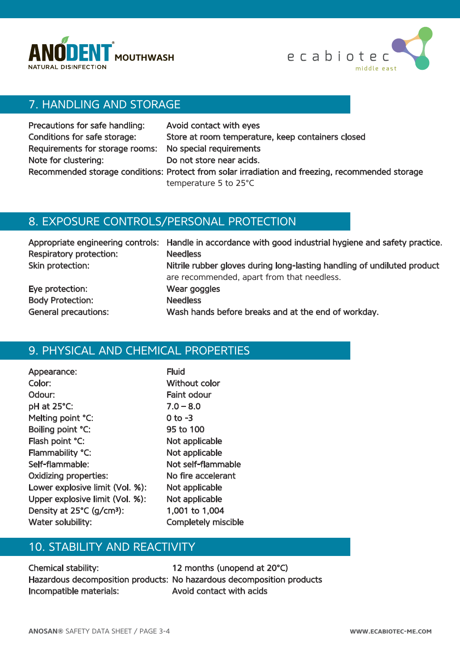



# 7. HANDLING AND STORAGE

| Precautions for safe handling:                          | Avoid contact with eyes                                                                          |
|---------------------------------------------------------|--------------------------------------------------------------------------------------------------|
| Conditions for safe storage:                            | Store at room temperature, keep containers closed                                                |
| Requirements for storage rooms: No special requirements |                                                                                                  |
| Note for clustering:                                    | Do not store near acids.                                                                         |
|                                                         | Recommended storage conditions: Protect from solar irradiation and freezing, recommended storage |
|                                                         | temperature 5 to 25°C                                                                            |

## 8. EXPOSURE CONTROLS/PERSONAL PROTECTION

| Respiratory protection:     | Appropriate engineering controls: Handle in accordance with good industrial hygiene and safety practice.<br><b>Needless</b> |
|-----------------------------|-----------------------------------------------------------------------------------------------------------------------------|
| Skin protection:            | Nitrile rubber gloves during long-lasting handling of undiluted product<br>are recommended, apart from that needless.       |
| Eye protection:             | Wear goggles                                                                                                                |
| <b>Body Protection:</b>     | <b>Needless</b>                                                                                                             |
| <b>General precautions:</b> | Wash hands before breaks and at the end of workday.                                                                         |

# 9. PHYSICAL AND CHEMICAL PROPERTIES

| Appearance:                           | <b>Fluid</b> |
|---------------------------------------|--------------|
| Color:                                | Withou       |
| Odour:                                | Faint o      |
| pH at 25°C:                           | $7.0 - 8$    |
| Melting point °C:                     | $0$ to $-3$  |
| Boiling point °C:                     | 95 to 1      |
| Flash point °C:                       | Not ap       |
| Flammability °C:                      | Not ap       |
| Self-flammable:                       | Not sel      |
| <b>Oxidizing properties:</b>          | No fire      |
| Lower explosive limit (Vol. %):       | Not ap       |
| Upper explosive limit (Vol. %):       | Not ap       |
| Density at 25°C (g/cm <sup>3</sup> ): | $1,001$ 1    |
| Water solubility:                     | Comple       |

hout color nt odour  $-8.0$ to 100 applicable applicable self-flammable fire accelerant applicable applicable 01 to 1,004 npletely miscible

# 10. STABILITY AND REACTIVITY

Chemical stability: 12 months (unopend at 20°C) Incompatible materials: Avoid contact with acids

Hazardous decomposition products: No hazardous decomposition products